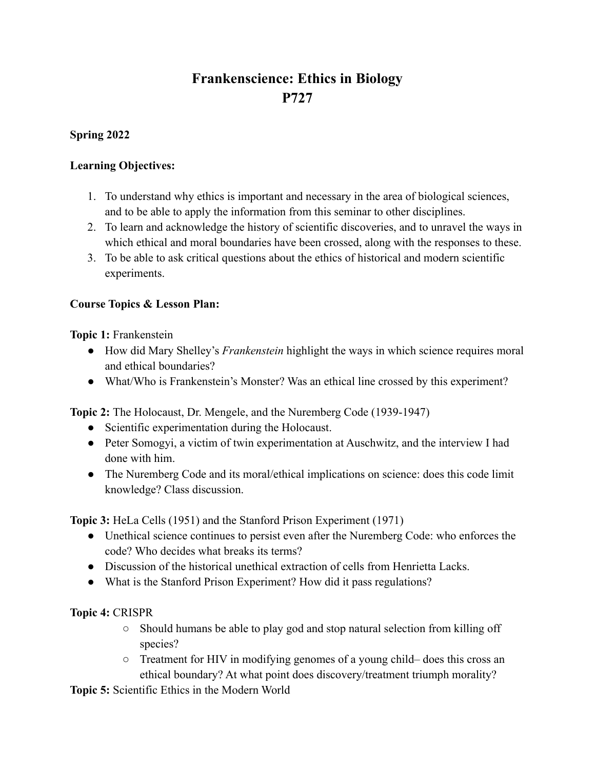# **Frankenscience: Ethics in Biology P727**

### **Spring 2022**

#### **Learning Objectives:**

- 1. To understand why ethics is important and necessary in the area of biological sciences, and to be able to apply the information from this seminar to other disciplines.
- 2. To learn and acknowledge the history of scientific discoveries, and to unravel the ways in which ethical and moral boundaries have been crossed, along with the responses to these.
- 3. To be able to ask critical questions about the ethics of historical and modern scientific experiments.

## **Course Topics & Lesson Plan:**

**Topic 1:** Frankenstein

- How did Mary Shelley's *Frankenstein* highlight the ways in which science requires moral and ethical boundaries?
- What/Who is Frankenstein's Monster? Was an ethical line crossed by this experiment?

**Topic 2:** The Holocaust, Dr. Mengele, and the Nuremberg Code (1939-1947)

- Scientific experimentation during the Holocaust.
- Peter Somogyi, a victim of twin experimentation at Auschwitz, and the interview I had done with him.
- The Nuremberg Code and its moral/ethical implications on science: does this code limit knowledge? Class discussion.

**Topic 3:** HeLa Cells (1951) and the Stanford Prison Experiment (1971)

- Unethical science continues to persist even after the Nuremberg Code: who enforces the code? Who decides what breaks its terms?
- Discussion of the historical unethical extraction of cells from Henrietta Lacks.
- What is the Stanford Prison Experiment? How did it pass regulations?

## **Topic 4:** CRISPR

- Should humans be able to play god and stop natural selection from killing off species?
- Treatment for HIV in modifying genomes of a young child– does this cross an ethical boundary? At what point does discovery/treatment triumph morality?

**Topic 5:** Scientific Ethics in the Modern World